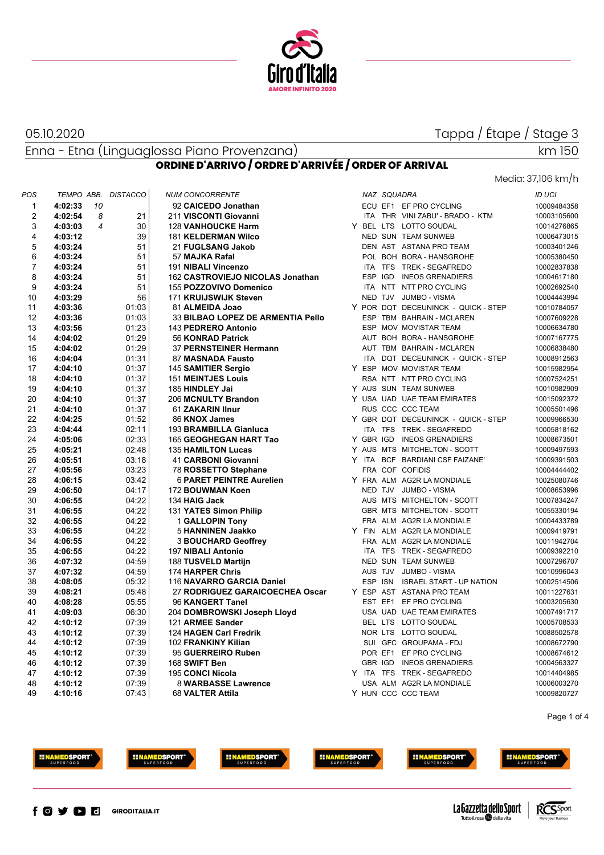

### 05.10.2020

## Tappa / Étape / Stage 3

Enna - Etna (Linguaglossa Piano Provenzana)

# km 150

Media: 37,106 km/h

### **ORDINE D'ARRIVO / ORDRE D'ARRIVÉE / ORDER OF ARRIVAL**

| POS            | TEMPO ABB.                | <b>DISTACCO</b> | <b>NUM CONCORRENTE</b>            |  | NAZ SQUADRA |                                     | ID UCI      |
|----------------|---------------------------|-----------------|-----------------------------------|--|-------------|-------------------------------------|-------------|
| $\mathbf{1}$   | 4:02:33<br>10             |                 | 92 CAICEDO Jonathan               |  |             | ECU EF1 EF PRO CYCLING              | 10009484358 |
| $\overline{2}$ | 4:02:54<br>8              | 21              | 211 VISCONTI Giovanni             |  |             | ITA THR VINI ZABU' - BRADO - KTM    | 10003105600 |
| 3              | $\overline{4}$<br>4:03:03 | 30              | <b>128 VANHOUCKE Harm</b>         |  |             | Y BEL LTS LOTTO SOUDAL              | 10014276865 |
| 4              | 4:03:12                   | 39              | <b>181 KELDERMAN Wilco</b>        |  |             | <b>NED SUN TEAM SUNWEB</b>          | 10006473015 |
| 5              | 4:03:24                   | 51              | 21 FUGLSANG Jakob                 |  |             | DEN AST ASTANA PRO TEAM             | 10003401246 |
| 6              | 4:03:24                   | 51              | 57 MAJKA Rafal                    |  |             | POL BOH BORA - HANSGROHE            | 10005380450 |
| 7              | 4:03:24                   | 51              | 191 NIBALI Vincenzo               |  |             | ITA TFS TREK - SEGAFREDO            | 10002837838 |
| 8              | 4:03:24                   | 51              | 162 CASTROVIEJO NICOLAS Jonathan  |  |             | ESP IGD INEOS GRENADIERS            | 10004617180 |
| 9              | 4:03:24                   | 51              | 155 POZZOVIVO Domenico            |  |             | ITA NTT NTT PRO CYCLING             | 10002692540 |
| 10             | 4:03:29                   | 56              | 171 KRUIJSWIJK Steven             |  |             | NED TJV JUMBO - VISMA               | 10004443994 |
| 11             | 4:03:36                   | 01:03           | 81 ALMEIDA Joao                   |  |             | Y POR DQT DECEUNINCK - QUICK - STEP | 10010784057 |
| 12             | 4:03:36                   | 01:03           | 33 BILBAO LOPEZ DE ARMENTIA Pello |  |             | ESP TBM BAHRAIN - MCLAREN           | 10007609228 |
| 13             | 4:03:56                   | 01:23           | 143 PEDRERO Antonio               |  |             | ESP MOV MOVISTAR TEAM               | 10006634780 |
| 14             | 4:04:02                   | 01:29           | 56 KONRAD Patrick                 |  |             | AUT BOH BORA - HANSGROHE            | 10007167775 |
| 15             | 4:04:02                   | 01:29           | <b>37 PERNSTEINER Hermann</b>     |  |             | AUT TBM BAHRAIN - MCLAREN           | 10006838480 |
| 16             | 4:04:04                   | 01:31           | 87 MASNADA Fausto                 |  |             | ITA DQT DECEUNINCK - QUICK - STEP   | 10008912563 |
| 17             | 4:04:10                   | 01:37           | 145 SAMITIER Sergio               |  |             | Y ESP MOV MOVISTAR TEAM             | 10015982954 |
| 18             | 4:04:10                   | 01:37           | <b>151 MEINTJES Louis</b>         |  |             | RSA NTT NTT PRO CYCLING             | 10007524251 |
| 19             | 4:04:10                   | 01:37           | 185 HINDLEY Jai                   |  |             | Y AUS SUN TEAM SUNWEB               | 10010982909 |
| 20             | 4:04:10                   | 01:37           | 206 MCNULTY Brandon               |  |             | Y USA UAD UAE TEAM EMIRATES         | 10015092372 |
| 21             | 4:04:10                   | 01:37           | 61 ZAKARIN IInur                  |  |             | RUS CCC CCC TEAM                    | 10005501496 |
| 22             | 4:04:25                   | 01:52           | 86 KNOX James                     |  |             | Y GBR DQT DECEUNINCK - QUICK - STEP | 10009966530 |
| 23             | 4:04:44                   | 02:11           | 193 BRAMBILLA Gianluca            |  |             | ITA TFS TREK - SEGAFREDO            | 10005818162 |
| 24             | 4:05:06                   | 02:33           | 165 GEOGHEGAN HART Tao            |  |             | Y GBR IGD INEOS GRENADIERS          | 10008673501 |
| 25             | 4:05:21                   | 02:48           | <b>135 HAMILTON Lucas</b>         |  |             | Y AUS MTS MITCHELTON - SCOTT        | 10009497593 |
| 26             | 4:05:51                   | 03:18           | 41 CARBONI Giovanni               |  |             | Y ITA BCF BARDIANI CSF FAIZANE'     | 10009391503 |
| 27             | 4:05:56                   | 03:23           | 78 ROSSETTO Stephane              |  |             | FRA COF COFIDIS                     | 10004444402 |
| 28             | 4:06:15                   | 03:42           | <b>6 PARET PEINTRE Aurelien</b>   |  |             | Y FRA ALM AG2R LA MONDIALE          | 10025080746 |
| 29             | 4:06:50                   | 04:17           | 172 BOUWMAN Koen                  |  |             | NED TJV JUMBO - VISMA               | 10008653996 |
| 30             | 4:06:55                   | 04:22           | 134 HAIG Jack                     |  |             | AUS MTS MITCHELTON - SCOTT          | 10007834247 |
| 31             | 4:06:55                   | 04:22           | 131 YATES Simon Philip            |  |             | GBR MTS MITCHELTON - SCOTT          | 10055330194 |
| 32             | 4:06:55                   | 04:22           | <b>1 GALLOPIN Tony</b>            |  |             | FRA ALM AG2R LA MONDIALE            | 10004433789 |
| 33             | 4:06:55                   | 04:22           | 5 HANNINEN Jaakko                 |  |             | Y FIN ALM AG2R LA MONDIALE          | 10009419791 |
| 34             | 4:06:55                   | 04:22           | <b>3 BOUCHARD Geoffrey</b>        |  |             | FRA ALM AG2R LA MONDIALE            | 10011942704 |
| 35             | 4:06:55                   | 04:22           | 197 NIBALI Antonio                |  |             | ITA TFS TREK - SEGAFREDO            | 10009392210 |
| 36             | 4:07:32                   | 04:59           | 188 TUSVELD Martijn               |  |             | NED SUN TEAM SUNWEB                 | 10007296707 |
| 37             | 4:07:32                   | 04:59           | 174 HARPER Chris                  |  |             | AUS TJV JUMBO - VISMA               | 10010996043 |
| 38             | 4:08:05                   | 05:32           | 116 NAVARRO GARCIA Daniel         |  | ESP ISN     | <b>ISRAEL START - UP NATION</b>     | 10002514506 |
| 39             | 4:08:21                   | 05:48           | 27 RODRIGUEZ GARAICOECHEA Oscar   |  |             | Y ESP AST ASTANA PRO TEAM           | 10011227631 |
| 40             | 4:08:28                   | 05:55           | 96 KANGERT Tanel                  |  |             | EST EF1 EF PRO CYCLING              | 10003205630 |
| 41             | 4:09:03                   | 06:30           | 204 DOMBROWSKI Joseph Lloyd       |  |             | USA UAD UAE TEAM EMIRATES           | 10007491717 |
| 42             | 4:10:12                   | 07:39           | 121 ARMEE Sander                  |  |             | BEL LTS LOTTO SOUDAL                | 10005708533 |
| 43             | 4:10:12                   | 07:39           | 124 HAGEN Carl Fredrik            |  |             | NOR LTS LOTTO SOUDAL                | 10088502578 |
| 44             | 4:10:12                   | 07:39           | 102 FRANKINY Kilian               |  |             | SUI GFC GROUPAMA - FDJ              | 10008672790 |
| 45             | 4:10:12                   | 07:39           | 95 GUERREIRO Ruben                |  |             | POR EF1 EF PRO CYCLING              | 10008674612 |
| 46             | 4:10:12                   | 07:39           | 168 SWIFT Ben                     |  | GBR IGD     | <b>INEOS GRENADIERS</b>             | 10004563327 |
| 47             | 4:10:12                   | 07:39           | <b>195 CONCI Nicola</b>           |  |             | Y ITA TFS TREK-SEGAFREDO            | 10014404985 |
| 48             | 4:10:12                   | 07:39           | <b>8 WARBASSE Lawrence</b>        |  |             | USA ALM AG2R LA MONDIALE            | 10006003270 |
| 49             | 4:10:16                   | 07:43           | 68 VALTER Attila                  |  |             | Y HUN CCC CCC TEAM                  | 10009820727 |
|                |                           |                 |                                   |  |             |                                     |             |

Page 1 of 4







**EINAMEDSPORT** 







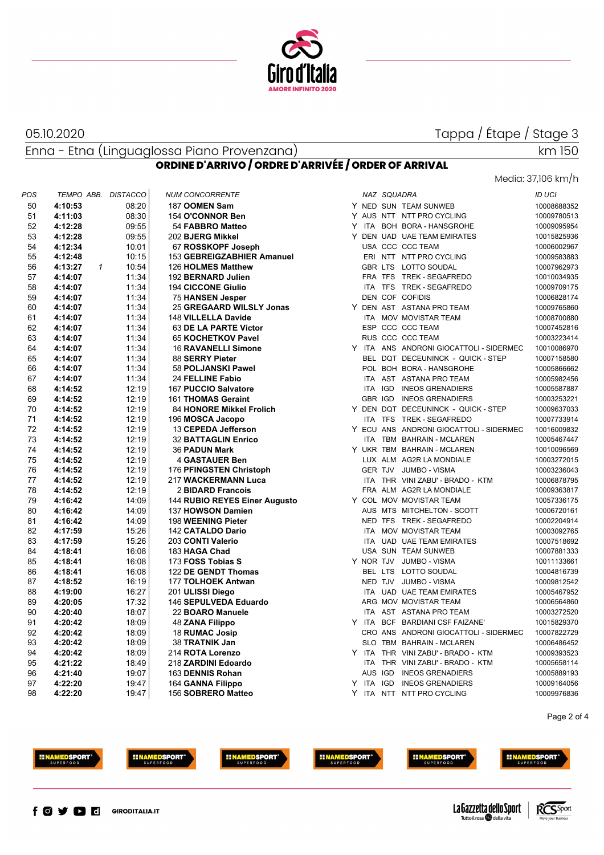

### 05.10.2020

### Tappa / Étape / Stage 3

Enna - Etna (Linguaglossa Piano Provenzana) **ORDINE D'ARRIVO / ORDRE D'ARRIVÉE / ORDER OF ARRIVAL**

km 150

|     |            |              |                 |                               |           |                |                                         | Media: 37,106 km/h |
|-----|------------|--------------|-----------------|-------------------------------|-----------|----------------|-----------------------------------------|--------------------|
| POS | TEMPO ABB. |              | <b>DISTACCO</b> | <b>NUM CONCORRENTE</b>        |           | NAZ SQUADRA    |                                         | ID UCI             |
| 50  | 4:10:53    |              | 08:20           | 187 OOMEN Sam                 |           |                | Y NED SUN TEAM SUNWEB                   | 10008688352        |
| 51  | 4:11:03    |              | 08:30           | 154 O'CONNOR Ben              |           |                | Y AUS NTT NTT PRO CYCLING               | 10009780513        |
| 52  | 4:12:28    |              | 09:55           | 54 FABBRO Matteo              |           |                | Y ITA BOH BORA - HANSGROHE              | 10009095954        |
| 53  | 4:12:28    |              | 09:55           | 202 BJERG Mikkel              |           |                | Y DEN UAD UAE TEAM EMIRATES             | 10015825936        |
| 54  | 4:12:34    |              | 10:01           | 67 ROSSKOPF Joseph            |           |                | USA CCC CCC TEAM                        | 10006002967        |
| 55  | 4:12:48    |              | 10:15           | 153 GEBREIGZABHIER Amanuel    |           |                | ERI NTT NTT PRO CYCLING                 | 10009583883        |
| 56  | 4:13:27    | $\mathbf{1}$ | 10:54           | 126 HOLMES Matthew            |           |                | GBR LTS LOTTO SOUDAL                    | 10007962973        |
| 57  | 4:14:07    |              | 11:34           | 192 BERNARD Julien            |           |                | FRA TFS TREK - SEGAFREDO                | 10010034935        |
| 58  | 4:14:07    |              | 11:34           | <b>194 CICCONE Giulio</b>     |           | ITA TFS        | <b>TREK - SEGAFREDO</b>                 | 10009709175        |
| 59  | 4:14:07    |              | 11:34           | <b>75 HANSEN Jesper</b>       |           |                | <b>DEN COF COFIDIS</b>                  | 10006828174        |
| 60  | 4:14:07    |              | 11:34           | 25 GREGAARD WILSLY Jonas      |           |                | Y DEN AST ASTANA PRO TEAM               | 10009765860        |
| 61  | 4:14:07    |              | 11:34           | 148 VILLELLA Davide           |           |                | ITA MOV MOVISTAR TEAM                   | 10008700880        |
| 62  | 4:14:07    |              | 11:34           | 63 DE LA PARTE Victor         |           |                | ESP CCC CCC TEAM                        | 10007452816        |
| 63  | 4:14:07    |              | 11:34           | 65 KOCHETKOV Pavel            |           |                | RUS CCC CCC TEAM                        | 10003223414        |
| 64  | 4:14:07    |              | 11:34           | <b>16 RAVANELLI Simone</b>    |           |                | Y ITA ANS ANDRONI GIOCATTOLI - SIDERMEC | 10010086970        |
| 65  | 4:14:07    |              | 11:34           | 88 SERRY Pieter               |           |                | BEL DQT DECEUNINCK - QUICK - STEP       | 10007158580        |
| 66  | 4:14:07    |              | 11:34           | 58 POLJANSKI Pawel            |           |                | POL BOH BORA - HANSGROHE                | 10005866662        |
| 67  | 4:14:07    |              | 11:34           | <b>24 FELLINE Fabio</b>       |           |                | ITA AST ASTANA PRO TEAM                 | 10005982456        |
| 68  | 4:14:52    |              | 12:19           | 167 PUCCIO Salvatore          |           | ITA IGD        | <b>INEOS GRENADIERS</b>                 | 10005587887        |
| 69  | 4:14:52    |              | 12:19           | 161 THOMAS Geraint            |           | GBR IGD        | <b>INEOS GRENADIERS</b>                 | 10003253221        |
| 70  | 4:14:52    |              | 12:19           | 84 HONORE Mikkel Frolich      |           |                | Y DEN DQT DECEUNINCK - QUICK - STEP     | 10009637033        |
| 71  | 4:14:52    |              | 12:19           | 196 MOSCA Jacopo              |           |                | ITA TFS TREK - SEGAFREDO                | 10007733914        |
| 72  | 4:14:52    |              | 12:19           | 13 CEPEDA Jefferson           |           |                | Y ECU ANS ANDRONI GIOCATTOLI - SIDERMEC | 10016009832        |
| 73  | 4:14:52    |              | 12:19           | <b>32 BATTAGLIN Enrico</b>    |           |                | ITA TBM BAHRAIN - MCLAREN               | 10005467447        |
| 74  | 4:14:52    |              | 12:19           | 36 PADUN Mark                 |           |                | Y UKR TBM BAHRAIN - MCLAREN             | 10010096569        |
| 75  | 4:14:52    |              | 12:19           | <b>4 GASTAUER Ben</b>         |           |                | LUX ALM AG2R LA MONDIALE                | 10003272015        |
| 76  | 4:14:52    |              | 12:19           | 176 PFINGSTEN Christoph       |           | <b>GER TJV</b> | <b>JUMBO - VISMA</b>                    | 10003236043        |
| 77  | 4:14:52    |              | 12:19           | 217 WACKERMANN Luca           |           |                | ITA THR VINI ZABU' - BRADO - KTM        | 10006878795        |
| 78  | 4:14:52    |              | 12:19           | 2 BIDARD Francois             |           |                | FRA ALM AG2R LA MONDIALE                | 10009363817        |
| 79  | 4:16:42    |              | 14:09           | 144 RUBIO REYES Einer Augusto |           |                | Y COL MOV MOVISTAR TEAM                 | 10057336175        |
| 80  | 4:16:42    |              | 14:09           | 137 HOWSON Damien             |           |                | AUS MTS MITCHELTON - SCOTT              | 10006720161        |
| 81  | 4:16:42    |              | 14:09           | 198 WEENING Pieter            |           |                | NED TFS TREK - SEGAFREDO                | 10002204914        |
| 82  | 4:17:59    |              | 15:26           | <b>142 CATALDO Dario</b>      |           |                | ITA MOV MOVISTAR TEAM                   | 10003092765        |
| 83  | 4:17:59    |              | 15:26           | 203 CONTI Valerio             |           |                | ITA UAD UAE TEAM EMIRATES               | 10007518692        |
| 84  | 4:18:41    |              | 16:08           | 183 HAGA Chad                 |           |                | USA SUN TEAM SUNWEB                     | 10007881333        |
| 85  | 4:18:41    |              | 16:08           | 173 FOSS Tobias S             | Y NOR TJV |                | <b>JUMBO - VISMA</b>                    | 10011133661        |
| 86  | 4:18:41    |              | 16:08           | 122 DE GENDT Thomas           |           | BEL LTS        | LOTTO SOUDAL                            | 10004816739        |
| 87  | 4:18:52    |              | 16:19           | 177 TOLHOEK Antwan            |           |                | NED TJV JUMBO - VISMA                   | 10009812542        |
| 88  | 4:19:00    |              | 16:27           | 201 ULISSI Diego              |           |                | ITA UAD UAE TEAM EMIRATES               | 10005467952        |
| 89  | 4:20:05    |              | 17:32           | 146 SEPULVEDA Eduardo         |           |                | ARG MOV MOVISTAR TEAM                   | 10006564860        |
| 90  | 4:20:40    |              | 18:07           | 22 BOARO Manuele              |           |                | ITA AST ASTANA PRO TEAM                 | 10003272520        |
| 91  | 4:20:42    |              | 18:09           | 48 ZANA Filippo               |           |                | Y ITA BCF BARDIANI CSF FAIZANE'         | 10015829370        |
| 92  | 4:20:42    |              | 18:09           | 18 RUMAC Josip                |           |                | CRO ANS ANDRONI GIOCATTOLI - SIDERMEC   | 10007822729        |
| 93  | 4:20:42    |              | 18:09           | 38 TRATNIK Jan                |           |                | SLO TBM BAHRAIN - MCLAREN               | 10006486452        |
| 94  | 4:20:42    |              | 18:09           | 214 ROTA Lorenzo              |           |                | Y ITA THR VINI ZABU' - BRADO - KTM      | 10009393523        |
| 95  | 4:21:22    |              | 18:49           | 218 ZARDINI Edoardo           |           |                | ITA THR VINI ZABU' - BRADO - KTM        | 10005658114        |
| 96  | 4:21:40    |              | 19:07           | 163 DENNIS Rohan              |           |                | AUS IGD INEOS GRENADIERS                | 10005889193        |
| 97  | 4:22:20    |              | 19:47           | 164 GANNA Filippo             |           |                | Y ITA IGD INEOS GRENADIERS              | 10009164056        |
| 98  | 4:22:20    |              | 19:47           | 156 SOBRERO Matteo            |           |                | Y ITA NTT NTT PRO CYCLING               | 10009976836        |
|     |            |              |                 |                               |           |                |                                         |                    |

Page 2 of 4







**INAMEDSPORT** 



**HINAMEDSPORT** 







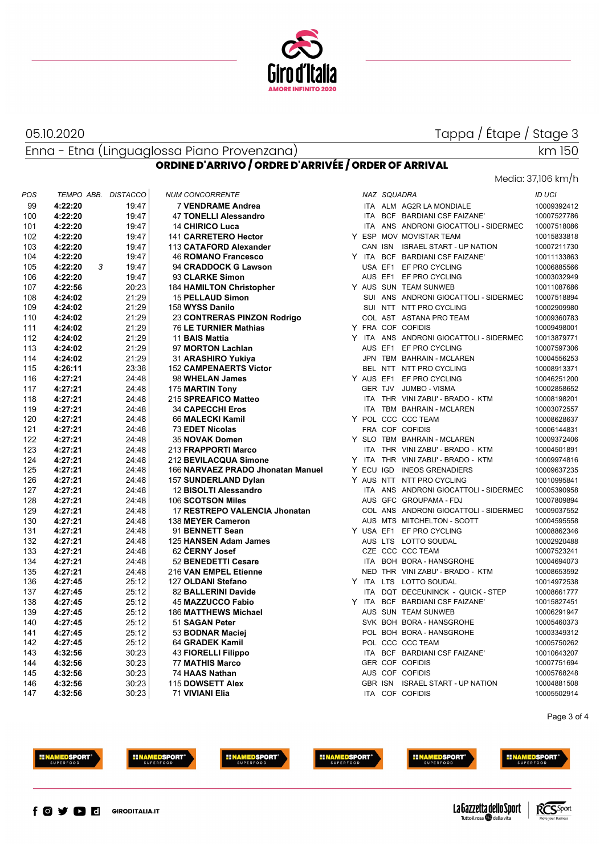

05.10.2020

## Tappa / Étape / Stage 3

Enna - Etna (Linguaglossa Piano Provenzana)

## Media: 37,106 km/h

km 150

| ORDINE D'ARRIVO / ORDRE D'ARRIVÉE / ORDER OF ARRIVAL |  |  |
|------------------------------------------------------|--|--|
|------------------------------------------------------|--|--|

| POS | TEMPO ABB. DISTACCO |       | <b>NUM CONCORRENTE</b>            |  | NAZ SQUADRA |                                         | ID UCI      |
|-----|---------------------|-------|-----------------------------------|--|-------------|-----------------------------------------|-------------|
| 99  | 4:22:20             | 19:47 | <b>7 VENDRAME Andrea</b>          |  |             | ITA ALM AG2R LA MONDIALE                | 10009392412 |
| 100 | 4:22:20             | 19:47 | 47 TONELLI Alessandro             |  |             | ITA BCF BARDIANI CSF FAIZANE'           | 10007527786 |
| 101 | 4:22:20             | 19:47 | <b>14 CHIRICO Luca</b>            |  |             | ITA ANS ANDRONI GIOCATTOLI - SIDERMEC   | 10007518086 |
| 102 | 4:22:20             | 19:47 | 141 CARRETERO Hector              |  |             | Y ESP MOV MOVISTAR TEAM                 | 10015833818 |
| 103 | 4:22:20             | 19:47 | 113 CATAFORD Alexander            |  |             | CAN ISN ISRAEL START - UP NATION        | 10007211730 |
| 104 | 4:22:20             | 19:47 | <b>46 ROMANO Francesco</b>        |  |             | Y ITA BCF BARDIANI CSF FAIZANE'         | 10011133863 |
| 105 | 4:22:20<br>3        | 19:47 | 94 CRADDOCK G Lawson              |  |             | USA EF1 EF PRO CYCLING                  | 10006885566 |
| 106 | 4:22:20             | 19:47 | 93 CLARKE Simon                   |  |             | AUS EF1 EF PRO CYCLING                  | 10003032949 |
| 107 | 4:22:56             | 20:23 | <b>184 HAMILTON Christopher</b>   |  |             | Y AUS SUN TEAM SUNWEB                   | 10011087686 |
| 108 | 4:24:02             | 21:29 | <b>15 PELLAUD Simon</b>           |  |             | SUI ANS ANDRONI GIOCATTOLI - SIDERMEC   | 10007518894 |
| 109 | 4:24:02             | 21:29 | 158 WYSS Danilo                   |  |             | SUI NTT NTT PRO CYCLING                 | 10002909980 |
| 110 | 4:24:02             | 21:29 | 23 CONTRERAS PINZON Rodrigo       |  |             | COL AST ASTANA PRO TEAM                 | 10009360783 |
| 111 | 4:24:02             | 21:29 | 76 LE TURNIER Mathias             |  |             | Y FRA COF COFIDIS                       | 10009498001 |
| 112 | 4:24:02             | 21:29 | 11 BAIS Mattia                    |  |             | Y ITA ANS ANDRONI GIOCATTOLI - SIDERMEC | 10013879771 |
| 113 | 4:24:02             | 21:29 | 97 MORTON Lachlan                 |  |             | AUS EF1 EF PRO CYCLING                  | 10007597306 |
| 114 | 4:24:02             | 21:29 | 31 ARASHIRO Yukiya                |  |             | JPN TBM BAHRAIN - MCLAREN               | 10004556253 |
| 115 | 4:26:11             | 23:38 | <b>152 CAMPENAERTS Victor</b>     |  |             | BEL NTT NTT PRO CYCLING                 | 10008913371 |
| 116 | 4:27:21             | 24:48 | 98 WHELAN James                   |  |             | Y AUS EF1 EF PRO CYCLING                | 10046251200 |
| 117 | 4:27:21             | 24:48 | 175 MARTIN Tony                   |  |             | GER TJV JUMBO - VISMA                   | 10002858652 |
| 118 | 4:27:21             | 24:48 | 215 SPREAFICO Matteo              |  |             | ITA THR VINI ZABU' - BRADO - KTM        | 10008198201 |
| 119 | 4:27:21             | 24:48 | <b>34 CAPECCHI Eros</b>           |  |             | ITA TBM BAHRAIN - MCLAREN               | 10003072557 |
| 120 | 4:27:21             | 24:48 | 66 MALECKI Kamil                  |  |             | Y POL CCC CCC TEAM                      | 10008628637 |
| 121 | 4:27:21             | 24:48 | 73 EDET Nicolas                   |  |             | FRA COF COFIDIS                         | 10006144831 |
| 122 | 4:27:21             | 24:48 | 35 NOVAK Domen                    |  |             | Y SLO TBM BAHRAIN - MCLAREN             | 10009372406 |
| 123 | 4:27:21             | 24:48 | 213 FRAPPORTI Marco               |  |             | ITA THR VINI ZABU' - BRADO - KTM        | 10004501891 |
| 124 | 4:27:21             | 24:48 | 212 BEVILACQUA Simone             |  |             | Y ITA THR VINI ZABU' - BRADO - KTM      | 10009974816 |
| 125 | 4:27:21             | 24:48 | 166 NARVAEZ PRADO Jhonatan Manuel |  |             | Y ECU IGD INEOS GRENADIERS              | 10009637235 |
| 126 | 4:27:21             | 24:48 | 157 SUNDERLAND Dylan              |  |             | Y AUS NTT NTT PRO CYCLING               | 10010995841 |
| 127 | 4:27:21             | 24:48 | 12 BISOLTI Alessandro             |  |             | ITA ANS ANDRONI GIOCATTOLI - SIDERMEC   | 10005390958 |
| 128 | 4:27:21             | 24:48 | 106 SCOTSON Miles                 |  |             | AUS GFC GROUPAMA - FDJ                  | 10007809894 |
| 129 | 4:27:21             | 24:48 | 17 RESTREPO VALENCIA Jhonatan     |  |             | COL ANS ANDRONI GIOCATTOLI - SIDERMEC   | 10009037552 |
| 130 | 4:27:21             | 24:48 | 138 MEYER Cameron                 |  |             | AUS MTS MITCHELTON - SCOTT              | 10004595558 |
| 131 | 4:27:21             | 24:48 | 91 BENNETT Sean                   |  |             | Y USA EF1 EF PRO CYCLING                | 10008862346 |
| 132 | 4:27:21             | 24:48 | 125 HANSEN Adam James             |  |             | AUS LTS LOTTO SOUDAL                    | 10002920488 |
| 133 | 4:27:21             | 24:48 | 62 CERNY Josef                    |  |             | CZE CCC CCC TEAM                        | 10007523241 |
| 134 | 4:27:21             | 24:48 | 52 BENEDETTI Cesare               |  |             | ITA BOH BORA - HANSGROHE                | 10004694073 |
| 135 | 4:27:21             | 24:48 | 216 VAN EMPEL Etienne             |  |             | NED THR VINI ZABU' - BRADO - KTM        | 10008653592 |
| 136 | 4:27:45             | 25:12 | 127 OLDANI Stefano                |  |             | Y ITA LTS LOTTO SOUDAL                  | 10014972538 |
| 137 | 4:27:45             | 25:12 | 82 BALLERINI Davide               |  |             | ITA DQT DECEUNINCK - QUICK - STEP       | 10008661777 |
| 138 | 4:27:45             | 25:12 | <b>45 MAZZUCCO Fabio</b>          |  |             | Y ITA BCF BARDIANI CSF FAIZANE'         | 10015827451 |
| 139 | 4:27:45             | 25:12 | <b>186 MATTHEWS Michael</b>       |  |             | AUS SUN TEAM SUNWEB                     | 10006291947 |
| 140 | 4:27:45             | 25:12 | 51 SAGAN Peter                    |  |             | SVK BOH BORA - HANSGROHE                | 10005460373 |
| 141 | 4:27:45             | 25:12 | 53 BODNAR Maciej                  |  |             | POL BOH BORA - HANSGROHE                | 10003349312 |
| 142 | 4:27:45             | 25:12 | 64 GRADEK Kamil                   |  |             | POL CCC CCC TEAM                        | 10005750262 |
| 143 | 4:32:56             | 30:23 | <b>43 FIORELLI Filippo</b>        |  |             | ITA BCF BARDIANI CSF FAIZANE'           | 10010643207 |
| 144 | 4:32:56             | 30:23 | <b>77 MATHIS Marco</b>            |  |             | <b>GER COF COFIDIS</b>                  | 10007751694 |
| 145 | 4:32:56             | 30:23 | 74 HAAS Nathan                    |  |             | AUS COF COFIDIS                         | 10005768248 |
| 146 | 4:32:56             | 30:23 | 115 DOWSETT Alex                  |  |             | GBR ISN ISRAEL START - UP NATION        | 10004881508 |
| 147 | 4:32:56             | 30:23 | 71 VIVIANI Elia                   |  |             | ITA COF COFIDIS                         | 10005502914 |
|     |                     |       |                                   |  |             |                                         |             |

Page 3 of 4